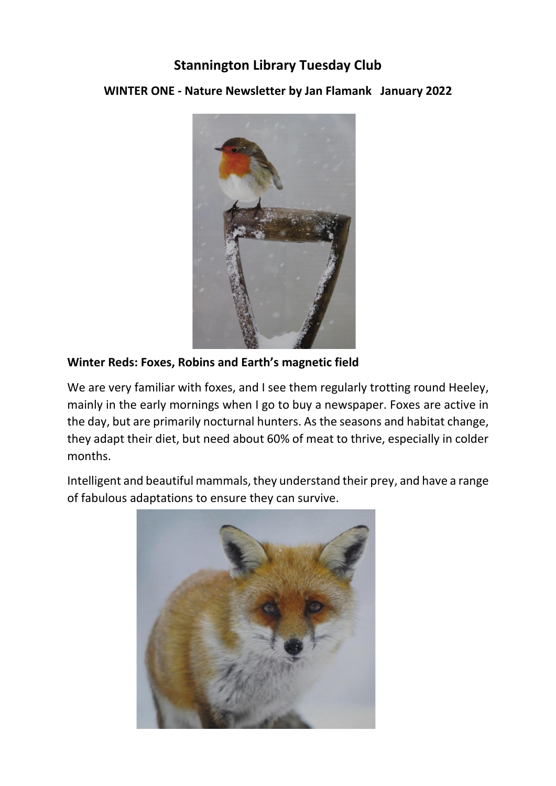## **Stannington Library Tuesday Club**

## **WINTER ONE - Nature Newsletter by Jan Flamank January 2022**



## **Winter Reds: Foxes, Robins and Earth's magnetic field**

We are very familiar with foxes, and I see them regularly trotting round Heeley, mainly in the early mornings when I go to buy a newspaper. Foxes are active in the day, but are primarily nocturnal hunters. As the seasons and habitat change, they adapt their diet, but need about 60% of meat to thrive, especially in colder months.

Intelligent and beautiful mammals, they understand their prey, and have a range of fabulous adaptations to ensure they can survive.

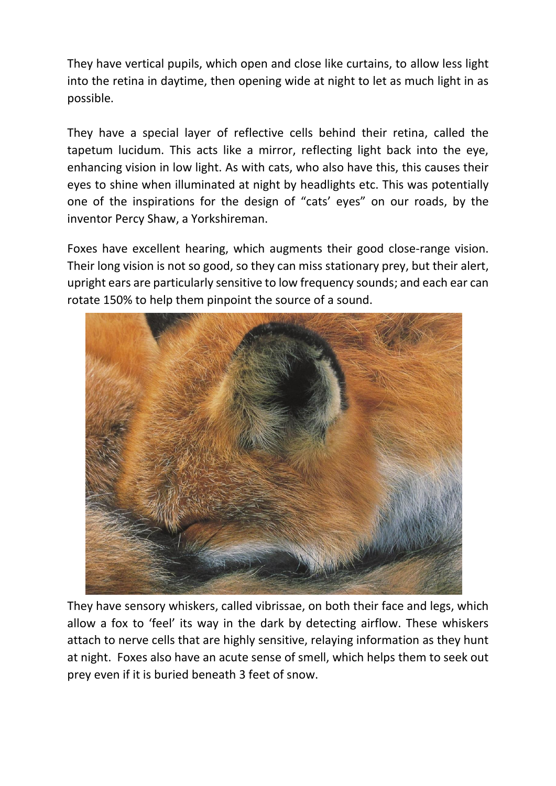They have vertical pupils, which open and close like curtains, to allow less light into the retina in daytime, then opening wide at night to let as much light in as possible.

They have a special layer of reflective cells behind their retina, called the tapetum lucidum. This acts like a mirror, reflecting light back into the eye, enhancing vision in low light. As with cats, who also have this, this causes their eyes to shine when illuminated at night by headlights etc. This was potentially one of the inspirations for the design of "cats' eyes" on our roads, by the inventor Percy Shaw, a Yorkshireman.

Foxes have excellent hearing, which augments their good close-range vision. Their long vision is not so good, so they can miss stationary prey, but their alert, upright ears are particularly sensitive to low frequency sounds; and each ear can rotate 150% to help them pinpoint the source of a sound.



They have sensory whiskers, called vibrissae, on both their face and legs, which allow a fox to 'feel' its way in the dark by detecting airflow. These whiskers attach to nerve cells that are highly sensitive, relaying information as they hunt at night. Foxes also have an acute sense of smell, which helps them to seek out prey even if it is buried beneath 3 feet of snow.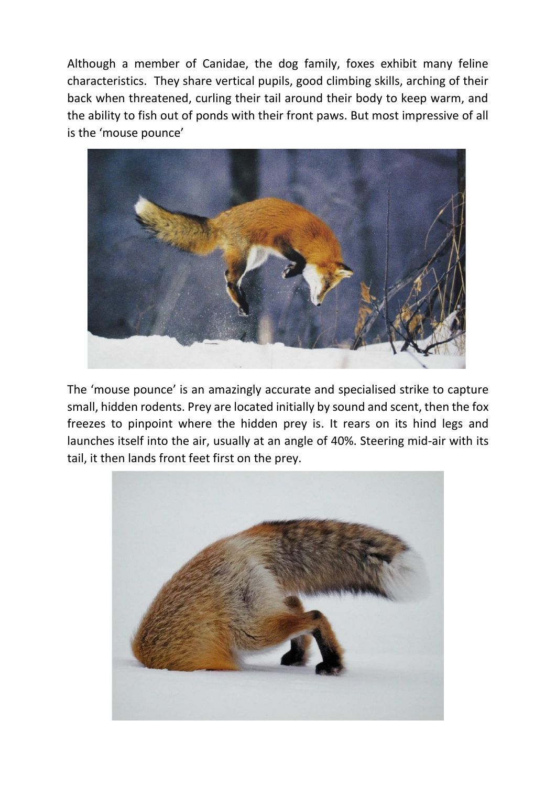Although a member of Canidae, the dog family, foxes exhibit many feline characteristics. They share vertical pupils, good climbing skills, arching of their back when threatened, curling their tail around their body to keep warm, and the ability to fish out of ponds with their front paws. But most impressive of all is the 'mouse pounce'



The 'mouse pounce' is an amazingly accurate and specialised strike to capture small, hidden rodents. Prey are located initially by sound and scent, then the fox freezes to pinpoint where the hidden prey is. It rears on its hind legs and launches itself into the air, usually at an angle of 40%. Steering mid-air with its tail, it then lands front feet first on the prey.

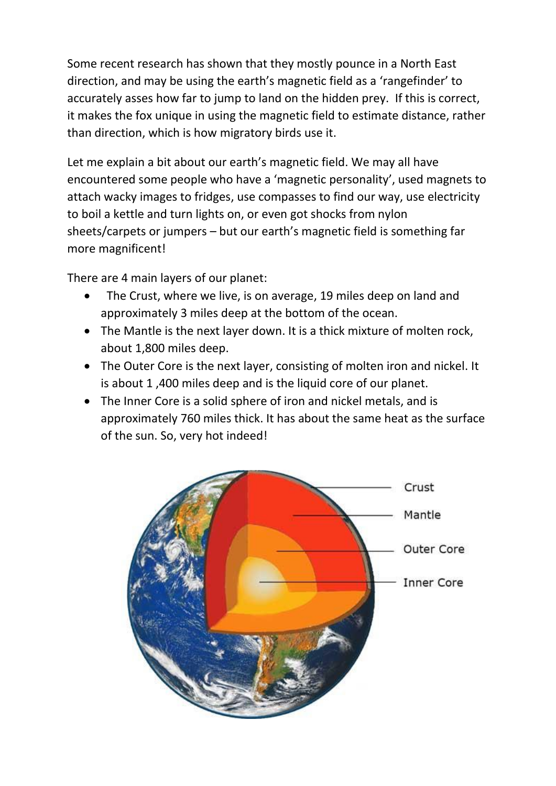Some recent research has shown that they mostly pounce in a North East direction, and may be using the earth's magnetic field as a 'rangefinder' to accurately asses how far to jump to land on the hidden prey. If this is correct, it makes the fox unique in using the magnetic field to estimate distance, rather than direction, which is how migratory birds use it.

Let me explain a bit about our earth's magnetic field. We may all have encountered some people who have a 'magnetic personality', used magnets to attach wacky images to fridges, use compasses to find our way, use electricity to boil a kettle and turn lights on, or even got shocks from nylon sheets/carpets or jumpers – but our earth's magnetic field is something far more magnificent!

There are 4 main layers of our planet:

- The Crust, where we live, is on average, 19 miles deep on land and approximately 3 miles deep at the bottom of the ocean.
- The Mantle is the next layer down. It is a thick mixture of molten rock, about 1,800 miles deep.
- The Outer Core is the next layer, consisting of molten iron and nickel. It is about 1 ,400 miles deep and is the liquid core of our planet.
- The Inner Core is a solid sphere of iron and nickel metals, and is approximately 760 miles thick. It has about the same heat as the surface of the sun. So, very hot indeed!

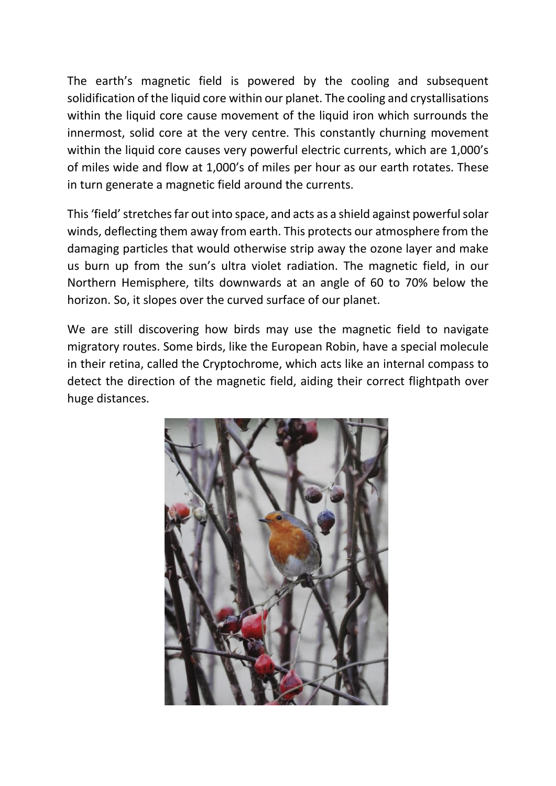The earth's magnetic field is powered by the cooling and subsequent solidification of the liquid core within our planet. The cooling and crystallisations within the liquid core cause movement of the liquid iron which surrounds the innermost, solid core at the very centre. This constantly churning movement within the liquid core causes very powerful electric currents, which are 1,000's of miles wide and flow at 1,000's of miles per hour as our earth rotates. These in turn generate a magnetic field around the currents.

This 'field'stretches far out into space, and acts as a shield against powerful solar winds, deflecting them away from earth. This protects our atmosphere from the damaging particles that would otherwise strip away the ozone layer and make us burn up from the sun's ultra violet radiation. The magnetic field, in our Northern Hemisphere, tilts downwards at an angle of 60 to 70% below the horizon. So, it slopes over the curved surface of our planet.

We are still discovering how birds may use the magnetic field to navigate migratory routes. Some birds, like the European Robin, have a special molecule in their retina, called the Cryptochrome, which acts like an internal compass to detect the direction of the magnetic field, aiding their correct flightpath over huge distances.